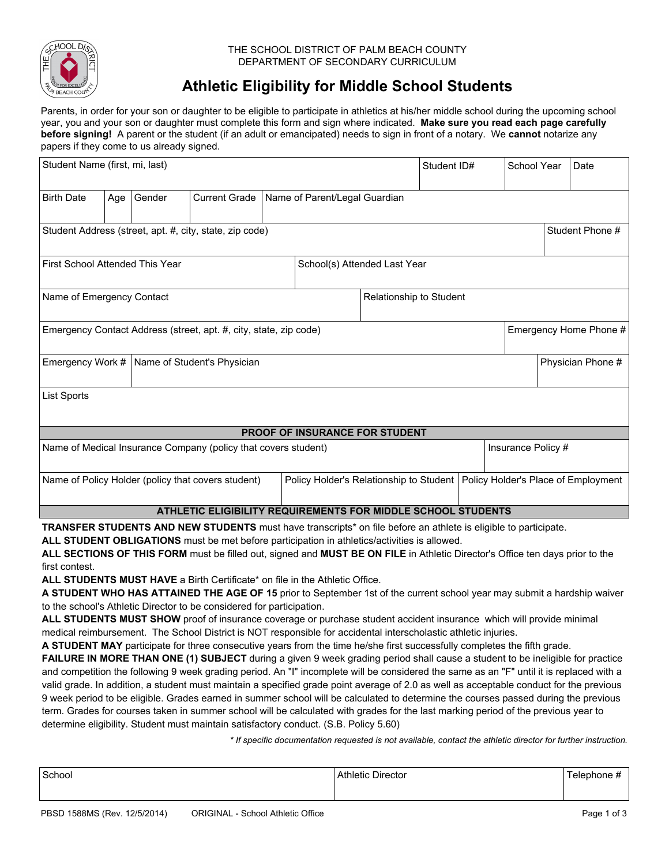

#### THE SCHOOL DISTRICT OF PALM BEACH COUNTY DEPARTMENT OF SECONDARY CURRICULUM

# **Athletic Eligibility for Middle School Students**

Parents, in order for your son or daughter to be eligible to participate in athletics at his/her middle school during the upcoming school year, you and your son or daughter must complete this form and sign where indicated. **Make sure you read each page carefully before signing!** A parent or the student (if an adult or emancipated) needs to sign in front of a notary. We **cannot** notarize any papers if they come to us already signed.

| Student Name (first, mi, last)                                                              |     |                                    |                                                 |  | Student ID#                             |  | School Year | $\blacktriangledown$ | Date                                |  |  |
|---------------------------------------------------------------------------------------------|-----|------------------------------------|-------------------------------------------------|--|-----------------------------------------|--|-------------|----------------------|-------------------------------------|--|--|
| <b>Birth Date</b>                                                                           | Age | Gender<br>$\vert \mathbf{v} \vert$ | <b>Current Grade</b><br>$\overline{\mathbf{v}}$ |  | Name of Parent/Legal Guardian           |  |             |                      |                                     |  |  |
| Student Address (street, apt. #, city, state, zip code)<br>Student Phone #                  |     |                                    |                                                 |  |                                         |  |             |                      |                                     |  |  |
| School(s) Attended Last Year<br><b>First School Attended This Year</b>                      |     |                                    |                                                 |  |                                         |  |             |                      |                                     |  |  |
| Name of Emergency Contact<br>Relationship to Student                                        |     |                                    |                                                 |  |                                         |  |             |                      |                                     |  |  |
| Emergency Contact Address (street, apt. #, city, state, zip code)<br>Emergency Home Phone # |     |                                    |                                                 |  |                                         |  |             |                      |                                     |  |  |
| Emergency Work #   Name of Student's Physician                                              |     |                                    |                                                 |  | Physician Phone #                       |  |             |                      |                                     |  |  |
| List Sports                                                                                 |     |                                    |                                                 |  |                                         |  |             |                      |                                     |  |  |
| PROOF OF INSURANCE FOR STUDENT                                                              |     |                                    |                                                 |  |                                         |  |             |                      |                                     |  |  |
| Name of Medical Insurance Company (policy that covers student)<br>Insurance Policy #        |     |                                    |                                                 |  |                                         |  |             |                      |                                     |  |  |
| Name of Policy Holder (policy that covers student)                                          |     |                                    |                                                 |  | Policy Holder's Relationship to Student |  |             |                      | Policy Holder's Place of Employment |  |  |
| ATHLETIC ELIGIBILITY REQUIREMENTS FOR MIDDLE SCHOOL STUDENTS                                |     |                                    |                                                 |  |                                         |  |             |                      |                                     |  |  |
|                                                                                             |     |                                    |                                                 |  |                                         |  |             |                      |                                     |  |  |

**TRANSFER STUDENTS AND NEW STUDENTS** must have transcripts\* on file before an athlete is eligible to participate.

**ALL STUDENT OBLIGATIONS** must be met before participation in athletics/activities is allowed.

**ALL SECTIONS OF THIS FORM** must be filled out, signed and **MUST BE ON FILE** in Athletic Director's Office ten days prior to the first contest.

**ALL STUDENTS MUST HAVE** a Birth Certificate\* on file in the Athletic Office.

**A STUDENT WHO HAS ATTAINED THE AGE OF 15** prior to September 1st of the current school year may submit a hardship waiver to the school's Athletic Director to be considered for participation.

**ALL STUDENTS MUST SHOW** proof of insurance coverage or purchase student accident insurance which will provide minimal medical reimbursement. The School District is NOT responsible for accidental interscholastic athletic injuries.

**A STUDENT MAY** participate for three consecutive years from the time he/she first successfully completes the fifth grade.

**FAILURE IN MORE THAN ONE (1) SUBJECT** during a given 9 week grading period shall cause a student to be ineligible for practice and competition the following 9 week grading period. An "I" incomplete will be considered the same as an "F" until it is replaced with a valid grade. In addition, a student must maintain a specified grade point average of 2.0 as well as acceptable conduct for the previous 9 week period to be eligible. Grades earned in summer school will be calculated to determine the courses passed during the previous term. Grades for courses taken in summer school will be calculated with grades for the last marking period of the previous year to determine eligibility. Student must maintain satisfactory conduct. (S.B. Policy 5.60)

*\* If specific documentation requested is not available, contact the athletic director for further instruction.*

| School | Athletic Director | l elephone # |
|--------|-------------------|--------------|
|        |                   |              |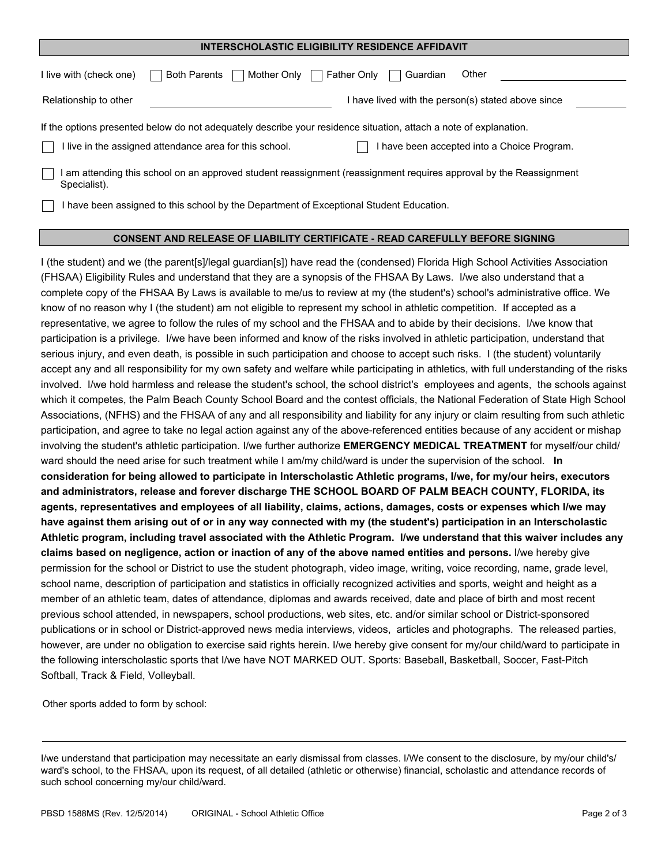#### **INTERSCHOLASTIC ELIGIBILITY RESIDENCE AFFIDAVIT**

| Mother Only<br><b>Both Parents</b><br>I live with (check one)                                                                                                                                                               | Other<br>Father Only<br>Guardian                                                                                 |  |  |  |  |  |
|-----------------------------------------------------------------------------------------------------------------------------------------------------------------------------------------------------------------------------|------------------------------------------------------------------------------------------------------------------|--|--|--|--|--|
| Relationship to other                                                                                                                                                                                                       | have lived with the person(s) stated above since                                                                 |  |  |  |  |  |
| If the options presented below do not adequately describe your residence situation, attach a note of explanation.<br>I live in the assigned attendance area for this school.<br>I have been accepted into a Choice Program. |                                                                                                                  |  |  |  |  |  |
| Specialist).                                                                                                                                                                                                                | am attending this school on an approved student reassignment (reassignment requires approval by the Reassignment |  |  |  |  |  |
| I have been assigned to this school by the Department of Exceptional Student Education.                                                                                                                                     |                                                                                                                  |  |  |  |  |  |

#### **CONSENT AND RELEASE OF LIABILITY CERTIFICATE - READ CAREFULLY BEFORE SIGNING**

I (the student) and we (the parent[s]/legal guardian[s]) have read the (condensed) Florida High School Activities Association (FHSAA) Eligibility Rules and understand that they are a synopsis of the FHSAA By Laws. I/we also understand that a complete copy of the FHSAA By Laws is available to me/us to review at my (the student's) school's administrative office. We know of no reason why I (the student) am not eligible to represent my school in athletic competition. If accepted as a representative, we agree to follow the rules of my school and the FHSAA and to abide by their decisions. I/we know that participation is a privilege. I/we have been informed and know of the risks involved in athletic participation, understand that serious injury, and even death, is possible in such participation and choose to accept such risks. I (the student) voluntarily accept any and all responsibility for my own safety and welfare while participating in athletics, with full understanding of the risks involved. I/we hold harmless and release the student's school, the school district's employees and agents, the schools against which it competes, the Palm Beach County School Board and the contest officials, the National Federation of State High School Associations, (NFHS) and the FHSAA of any and all responsibility and liability for any injury or claim resulting from such athletic participation, and agree to take no legal action against any of the above-referenced entities because of any accident or mishap involving the student's athletic participation. I/we further authorize **EMERGENCY MEDICAL TREATMENT** for myself/our child/ ward should the need arise for such treatment while I am/my child/ward is under the supervision of the school. **In consideration for being allowed to participate in Interscholastic Athletic programs, I/we, for my/our heirs, executors and administrators, release and forever discharge THE SCHOOL BOARD OF PALM BEACH COUNTY, FLORIDA, its agents, representatives and employees of all liability, claims, actions, damages, costs or expenses which I/we may have against them arising out of or in any way connected with my (the student's) participation in an Interscholastic Athletic program, including travel associated with the Athletic Program. I/we understand that this waiver includes any claims based on negligence, action or inaction of any of the above named entities and persons.** I/we hereby give permission for the school or District to use the student photograph, video image, writing, voice recording, name, grade level, school name, description of participation and statistics in officially recognized activities and sports, weight and height as a member of an athletic team, dates of attendance, diplomas and awards received, date and place of birth and most recent previous school attended, in newspapers, school productions, web sites, etc. and/or similar school or District-sponsored publications or in school or District-approved news media interviews, videos, articles and photographs. The released parties, however, are under no obligation to exercise said rights herein. I/we hereby give consent for my/our child/ward to participate in the following interscholastic sports that I/we have NOT MARKED OUT. Sports: Baseball, Basketball, Soccer, Fast-Pitch Softball, Track & Field, Volleyball.

Other sports added to form by school:

I/we understand that participation may necessitate an early dismissal from classes. I/We consent to the disclosure, by my/our child's/ ward's school, to the FHSAA, upon its request, of all detailed (athletic or otherwise) financial, scholastic and attendance records of such school concerning my/our child/ward.